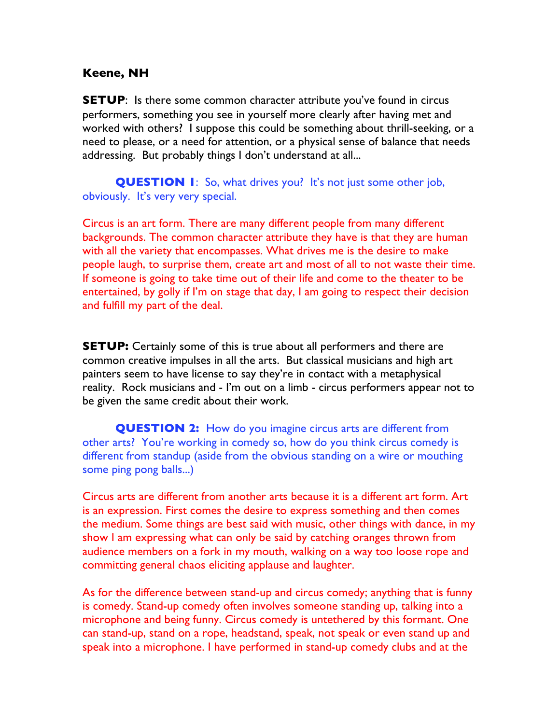## **Keene, NH**

**SETUP:** Is there some common character attribute you've found in circus performers, something you see in yourself more clearly after having met and worked with others? I suppose this could be something about thrill-seeking, or a need to please, or a need for attention, or a physical sense of balance that needs addressing. But probably things I don't understand at all...

**QUESTION 1:** So, what drives you? It's not just some other job, obviously. It's very very special.

Circus is an art form. There are many different people from many different backgrounds. The common character attribute they have is that they are human with all the variety that encompasses. What drives me is the desire to make people laugh, to surprise them, create art and most of all to not waste their time. If someone is going to take time out of their life and come to the theater to be entertained, by golly if I'm on stage that day, I am going to respect their decision and fulfill my part of the deal.

**SETUP:** Certainly some of this is true about all performers and there are common creative impulses in all the arts. But classical musicians and high art painters seem to have license to say they're in contact with a metaphysical reality. Rock musicians and - I'm out on a limb - circus performers appear not to be given the same credit about their work.

**QUESTION 2:** How do you imagine circus arts are different from other arts? You're working in comedy so, how do you think circus comedy is different from standup (aside from the obvious standing on a wire or mouthing some ping pong balls...)

Circus arts are different from another arts because it is a different art form. Art is an expression. First comes the desire to express something and then comes the medium. Some things are best said with music, other things with dance, in my show I am expressing what can only be said by catching oranges thrown from audience members on a fork in my mouth, walking on a way too loose rope and committing general chaos eliciting applause and laughter.

As for the difference between stand-up and circus comedy; anything that is funny is comedy. Stand-up comedy often involves someone standing up, talking into a microphone and being funny. Circus comedy is untethered by this formant. One can stand-up, stand on a rope, headstand, speak, not speak or even stand up and speak into a microphone. I have performed in stand-up comedy clubs and at the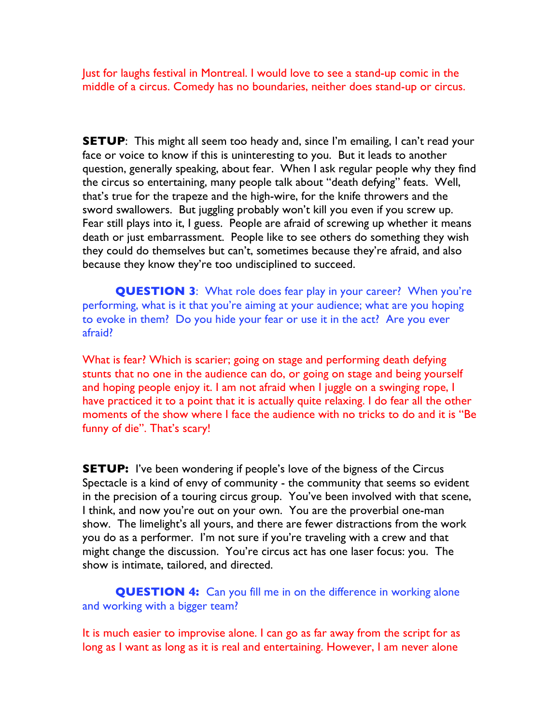Just for laughs festival in Montreal. I would love to see a stand-up comic in the middle of a circus. Comedy has no boundaries, neither does stand-up or circus.

**SETUP:** This might all seem too heady and, since I'm emailing, I can't read your face or voice to know if this is uninteresting to you. But it leads to another question, generally speaking, about fear. When I ask regular people why they find the circus so entertaining, many people talk about "death defying" feats. Well, that's true for the trapeze and the high-wire, for the knife throwers and the sword swallowers. But juggling probably won't kill you even if you screw up. Fear still plays into it, I guess. People are afraid of screwing up whether it means death or just embarrassment. People like to see others do something they wish they could do themselves but can't, sometimes because they're afraid, and also because they know they're too undisciplined to succeed.

**QUESTION 3**: What role does fear play in your career? When you're performing, what is it that you're aiming at your audience; what are you hoping to evoke in them? Do you hide your fear or use it in the act? Are you ever afraid?

What is fear? Which is scarier; going on stage and performing death defying stunts that no one in the audience can do, or going on stage and being yourself and hoping people enjoy it. I am not afraid when I juggle on a swinging rope, I have practiced it to a point that it is actually quite relaxing. I do fear all the other moments of the show where I face the audience with no tricks to do and it is "Be funny of die". That's scary!

**SETUP:** I've been wondering if people's love of the bigness of the Circus Spectacle is a kind of envy of community - the community that seems so evident in the precision of a touring circus group. You've been involved with that scene, I think, and now you're out on your own. You are the proverbial one-man show. The limelight's all yours, and there are fewer distractions from the work you do as a performer. I'm not sure if you're traveling with a crew and that might change the discussion. You're circus act has one laser focus: you. The show is intimate, tailored, and directed.

**QUESTION 4:** Can you fill me in on the difference in working alone and working with a bigger team?

It is much easier to improvise alone. I can go as far away from the script for as long as I want as long as it is real and entertaining. However, I am never alone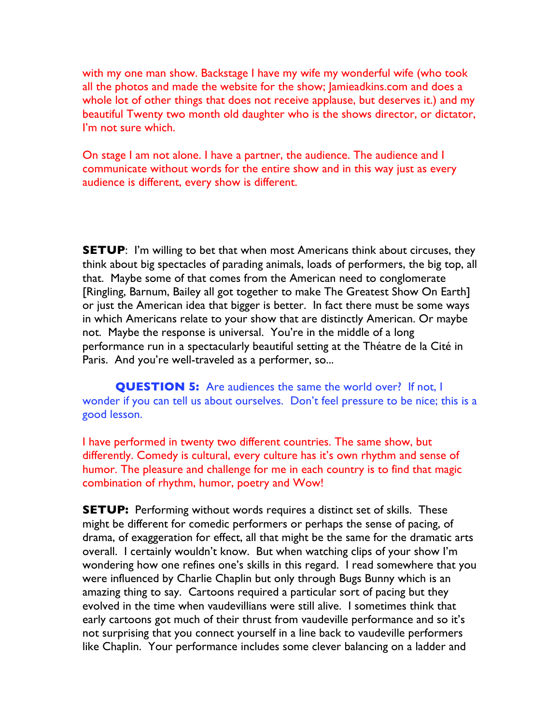with my one man show. Backstage I have my wife my wonderful wife (who took all the photos and made the website for the show; Jamieadkins.com and does a whole lot of other things that does not receive applause, but deserves it.) and my beautiful Twenty two month old daughter who is the shows director, or dictator, I'm not sure which.

On stage I am not alone. I have a partner, the audience. The audience and I communicate without words for the entire show and in this way just as every audience is different, every show is different.

**SETUP:** I'm willing to bet that when most Americans think about circuses, they think about big spectacles of parading animals, loads of performers, the big top, all that. Maybe some of that comes from the American need to conglomerate [Ringling, Barnum, Bailey all got together to make The Greatest Show On Earth] or just the American idea that bigger is better. In fact there must be some ways in which Americans relate to your show that are distinctly American. Or maybe not. Maybe the response is universal. You're in the middle of a long performance run in a spectacularly beautiful setting at the Théatre de la Cité in Paris. And you're well-traveled as a performer, so...

**QUESTION 5:** Are audiences the same the world over? If not, I wonder if you can tell us about ourselves. Don't feel pressure to be nice; this is a good lesson.

I have performed in twenty two different countries. The same show, but differently. Comedy is cultural, every culture has it's own rhythm and sense of humor. The pleasure and challenge for me in each country is to find that magic combination of rhythm, humor, poetry and Wow!

**SETUP:** Performing without words requires a distinct set of skills. These might be different for comedic performers or perhaps the sense of pacing, of drama, of exaggeration for effect, all that might be the same for the dramatic arts overall. I certainly wouldn't know. But when watching clips of your show I'm wondering how one refines one's skills in this regard. I read somewhere that you were influenced by Charlie Chaplin but only through Bugs Bunny which is an amazing thing to say. Cartoons required a particular sort of pacing but they evolved in the time when vaudevillians were still alive. I sometimes think that early cartoons got much of their thrust from vaudeville performance and so it's not surprising that you connect yourself in a line back to vaudeville performers like Chaplin. Your performance includes some clever balancing on a ladder and